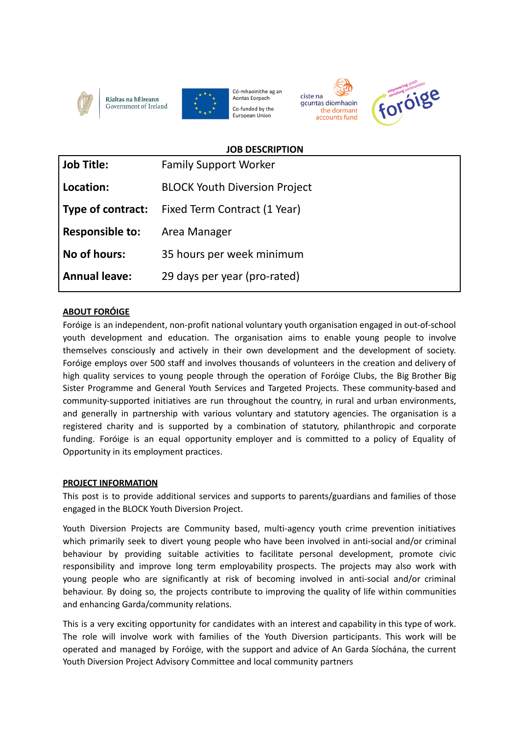





Có-mhaoinithe ag an Aontas Eorpach Co-funded by the European Union





### **JOB DESCRIPTION**

| <b>Job Title:</b>      | <b>Family Support Worker</b>         |
|------------------------|--------------------------------------|
| Location:              | <b>BLOCK Youth Diversion Project</b> |
| Type of contract:      | Fixed Term Contract (1 Year)         |
| <b>Responsible to:</b> | Area Manager                         |
| No of hours:           | 35 hours per week minimum            |
| <b>Annual leave:</b>   | 29 days per year (pro-rated)         |

# **ABOUT FORÓIGE**

Foróige is an independent, non-profit national voluntary youth organisation engaged in out-of-school youth development and education. The organisation aims to enable young people to involve themselves consciously and actively in their own development and the development of society. Foróige employs over 500 staff and involves thousands of volunteers in the creation and delivery of high quality services to young people through the operation of Foróige Clubs, the Big Brother Big Sister Programme and General Youth Services and Targeted Projects. These community-based and community-supported initiatives are run throughout the country, in rural and urban environments, and generally in partnership with various voluntary and statutory agencies. The organisation is a registered charity and is supported by a combination of statutory, philanthropic and corporate funding. Foróige is an equal opportunity employer and is committed to a policy of Equality of Opportunity in its employment practices.

### **PROJECT INFORMATION**

This post is to provide additional services and supports to parents/guardians and families of those engaged in the BLOCK Youth Diversion Project.

Youth Diversion Projects are Community based, multi-agency youth crime prevention initiatives which primarily seek to divert young people who have been involved in anti-social and/or criminal behaviour by providing suitable activities to facilitate personal development, promote civic responsibility and improve long term employability prospects. The projects may also work with young people who are significantly at risk of becoming involved in anti-social and/or criminal behaviour. By doing so, the projects contribute to improving the quality of life within communities and enhancing Garda/community relations.

This is a very exciting opportunity for candidates with an interest and capability in this type of work. The role will involve work with families of the Youth Diversion participants. This work will be operated and managed by Foróige, with the support and advice of An Garda Síochána, the current Youth Diversion Project Advisory Committee and local community partners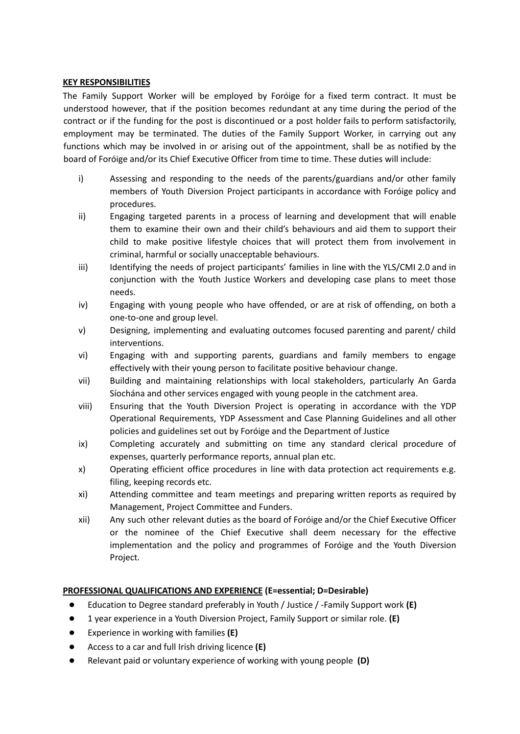#### **KEY RESPONSIBILITIES**

The Family Support Worker will be employed by Foróige for a fixed term contract. It must be understood however, that if the position becomes redundant at any time during the period of the contract or if the funding for the post is discontinued or a post holder fails to perform satisfactorily, employment may be terminated. The duties of the Family Support Worker, in carrying out any functions which may be involved in or arising out of the appointment, shall be as notified by the board of Foróige and/or its Chief Executive Officer from time to time. These duties will include:

- i) Assessing and responding to the needs of the parents/guardians and/or other family members of Youth Diversion Project participants in accordance with Foróige policy and procedures.
- ii) Engaging targeted parents in a process of learning and development that will enable them to examine their own and their child's behaviours and aid them to support their child to make positive lifestyle choices that will protect them from involvement in criminal, harmful or socially unacceptable behaviours.
- iii) Identifying the needs of project participants' families in line with the YLS/CMI 2.0 and in conjunction with the Youth Justice Workers and developing case plans to meet those needs.
- iv) Engaging with young people who have offended, or are at risk of offending, on both a one-to-one and group level.
- v) Designing, implementing and evaluating outcomes focused parenting and parent/ child interventions.
- vi) Engaging with and supporting parents, guardians and family members to engage effectively with their young person to facilitate positive behaviour change.
- vii) Building and maintaining relationships with local stakeholders, particularly An Garda Síochána and other services engaged with young people in the catchment area.
- viii) Ensuring that the Youth Diversion Project is operating in accordance with the YDP Operational Requirements, YDP Assessment and Case Planning Guidelines and all other policies and guidelines set out by Foróige and the Department of Justice
- ix) Completing accurately and submitting on time any standard clerical procedure of expenses, quarterly performance reports, annual plan etc.
- x) Operating efficient office procedures in line with data protection act requirements e.g. filing, keeping records etc.
- xi) Attending committee and team meetings and preparing written reports as required by Management, Project Committee and Funders.
- xii) Any such other relevant duties as the board of Foróige and/or the Chief Executive Officer or the nominee of the Chief Executive shall deem necessary for the effective implementation and the policy and programmes of Foróige and the Youth Diversion Project.

### **PROFESSIONAL QUALIFICATIONS AND EXPERIENCE (E=essential; D=Desirable)**

- Education to Degree standard preferably in Youth / Justice / -Family Support work **(E)**
- 1 year experience in a Youth Diversion Project, Family Support or similar role. **(E)**
- Experience in working with families **(E)**
- Access to a car and full Irish driving licence **(E)**
- Relevant paid or voluntary experience of working with young people **(D)**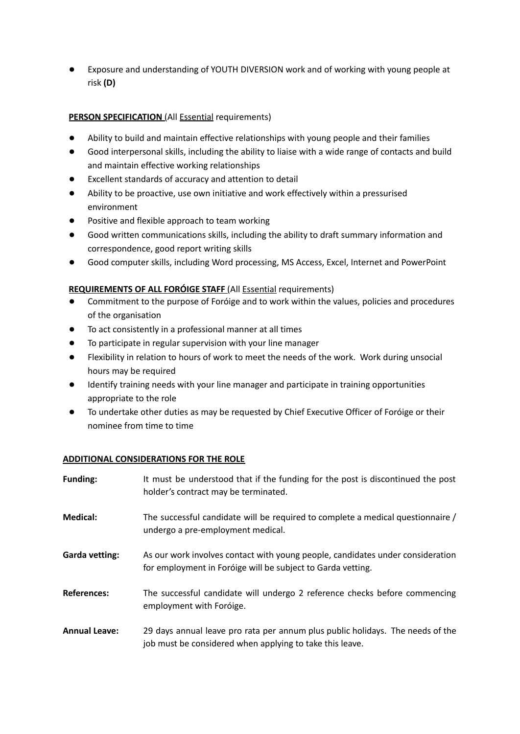Exposure and understanding of YOUTH DIVERSION work and of working with young people at risk **(D)**

## **PERSON SPECIFICATION** (All **Essential** requirements)

- Ability to build and maintain effective relationships with young people and their families
- Good interpersonal skills, including the ability to liaise with a wide range of contacts and build and maintain effective working relationships
- Excellent standards of accuracy and attention to detail
- Ability to be proactive, use own initiative and work effectively within a pressurised environment
- Positive and flexible approach to team working
- Good written communications skills, including the ability to draft summary information and correspondence, good report writing skills
- Good computer skills, including Word processing, MS Access, Excel, Internet and PowerPoint

### **REQUIREMENTS OF ALL FORÓIGE STAFF** (All Essential requirements)

- Commitment to the purpose of Foróige and to work within the values, policies and procedures of the organisation
- To act consistently in a professional manner at all times
- To participate in regular supervision with your line manager
- Flexibility in relation to hours of work to meet the needs of the work. Work during unsocial hours may be required
- Identify training needs with your line manager and participate in training opportunities appropriate to the role
- To undertake other duties as may be requested by Chief Executive Officer of Foróige or their nominee from time to time

### **ADDITIONAL CONSIDERATIONS FOR THE ROLE**

| <b>Funding:</b>      | It must be understood that if the funding for the post is discontinued the post<br>holder's contract may be terminated.                       |
|----------------------|-----------------------------------------------------------------------------------------------------------------------------------------------|
| Medical:             | The successful candidate will be required to complete a medical questionnaire /<br>undergo a pre-employment medical.                          |
| Garda vetting:       | As our work involves contact with young people, candidates under consideration<br>for employment in Foróige will be subject to Garda vetting. |
| <b>References:</b>   | The successful candidate will undergo 2 reference checks before commencing<br>employment with Foróige.                                        |
| <b>Annual Leave:</b> | 29 days annual leave pro rata per annum plus public holidays. The needs of the<br>job must be considered when applying to take this leave.    |